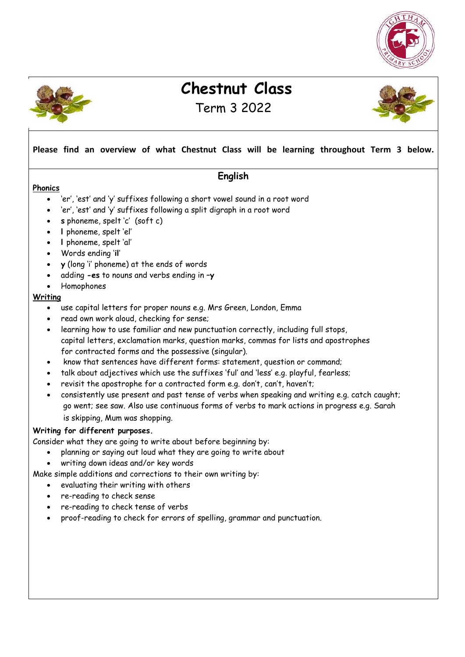



# **Chestnut Class**

Term 3 2022



#### **Please find an overview of what Chestnut Class will be learning throughout Term 3 below.**

#### **English**

#### **Phonics**

- 'er', 'est' and 'y' suffixes following a short vowel sound in a root word
- 'er', 'est' and 'y' suffixes following a split digraph in a root word
- **s** phoneme, spelt 'c' (soft c)
- **l** phoneme, spelt 'el'
- **l** phoneme, spelt 'al'
- Words ending '**il**'
- **y** (long 'i' phoneme) at the ends of words
- adding **-es** to nouns and verbs ending in **–y**
- Homophones

#### **Writing**

- use capital letters for proper nouns e.g. Mrs Green, London, Emma
- read own work aloud, checking for sense;
- learning how to use familiar and new punctuation correctly, including full stops, capital letters, exclamation marks, question marks, commas for lists and apostrophes for contracted forms and the possessive (singular).
- know that sentences have different forms: statement, question or command;
- talk about adjectives which use the suffixes 'ful' and 'less' e.g. playful, fearless;
- revisit the apostrophe for a contracted form e.g. don't, can't, haven't;
- consistently use present and past tense of verbs when speaking and writing e.g. catch caught; go went; see saw. Also use continuous forms of verbs to mark actions in progress e.g. Sarah is skipping, Mum was shopping.

#### **Writing for different purposes.**

Consider what they are going to write about before beginning by:

- planning or saying out loud what they are going to write about
- writing down ideas and/or key words

Make simple additions and corrections to their own writing by:

- evaluating their writing with others
- re-reading to check sense
- re-reading to check tense of verbs
- proof-reading to check for errors of spelling, grammar and punctuation.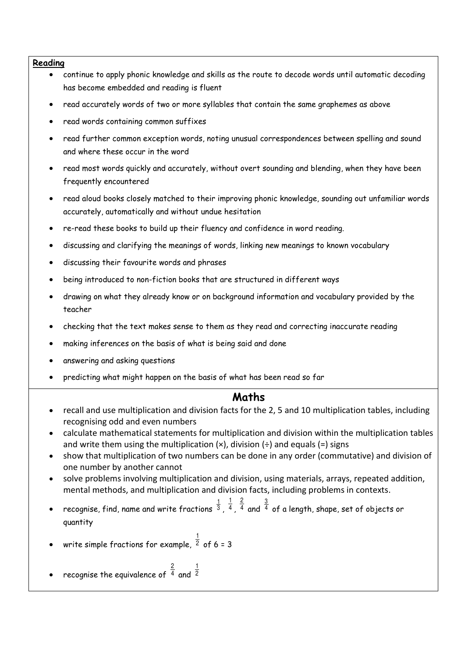#### **Reading**

- continue to apply phonic knowledge and skills as the route to decode words until automatic decoding has become embedded and reading is fluent
- read accurately words of two or more syllables that contain the same graphemes as above
- read words containing common suffixes
- read further common exception words, noting unusual correspondences between spelling and sound and where these occur in the word
- read most words quickly and accurately, without overt sounding and blending, when they have been frequently encountered
- read aloud books closely matched to their improving phonic knowledge, sounding out unfamiliar words accurately, automatically and without undue hesitation
- re-read these books to build up their fluency and confidence in word reading.
- discussing and clarifying the meanings of words, linking new meanings to known vocabulary
- discussing their favourite words and phrases
- being introduced to non-fiction books that are structured in different ways
- drawing on what they already know or on background information and vocabulary provided by the teacher
- checking that the text makes sense to them as they read and correcting inaccurate reading
- making inferences on the basis of what is being said and done
- answering and asking questions
- predicting what might happen on the basis of what has been read so far

### **Maths**

- recall and use multiplication and division facts for the 2, 5 and 10 multiplication tables, including recognising odd and even numbers
- calculate mathematical statements for multiplication and division within the multiplication tables and write them using the multiplication  $(x)$ , division  $(\div)$  and equals  $(=)$  signs
- show that multiplication of two numbers can be done in any order (commutative) and division of one number by another cannot
- solve problems involving multiplication and division, using materials, arrays, repeated addition, mental methods, and multiplication and division facts, including problems in contexts.
- recognise, find, name and write fractions  $\frac{1}{3}$ ,  $\frac{1}{4}$ 1 , <sup>4</sup> 2 and  $\frac{3}{4}$  of a length, shape, set of objects or quantity

• write simple fractions for example, 
$$
\frac{1}{2}
$$
 of 6 = 3

• recognise the equivalence of  $4$ 2 and <sup>2</sup> 1